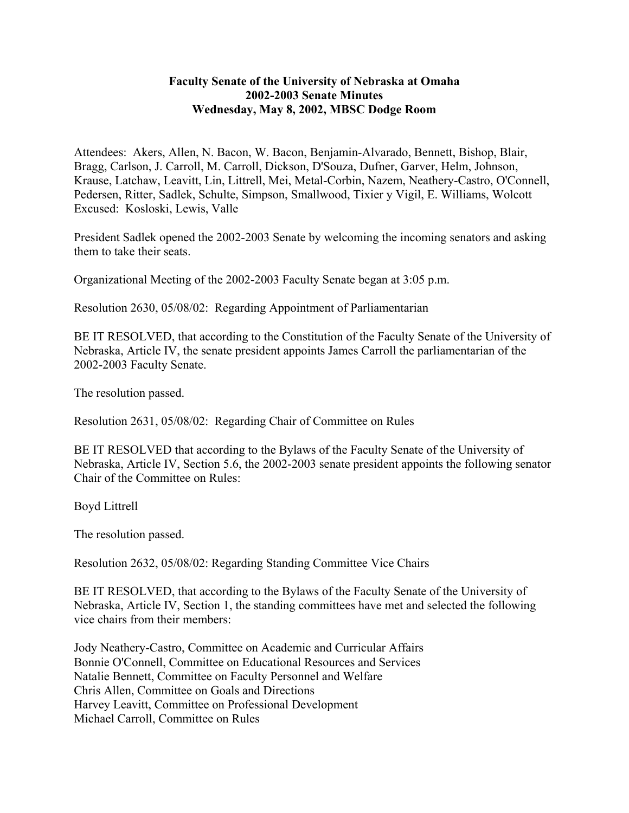## **Faculty Senate of the University of Nebraska at Omaha 2002-2003 Senate Minutes Wednesday, May 8, 2002, MBSC Dodge Room**

Attendees: Akers, Allen, N. Bacon, W. Bacon, Benjamin-Alvarado, Bennett, Bishop, Blair, Bragg, Carlson, J. Carroll, M. Carroll, Dickson, D'Souza, Dufner, Garver, Helm, Johnson, Krause, Latchaw, Leavitt, Lin, Littrell, Mei, Metal-Corbin, Nazem, Neathery-Castro, O'Connell, Pedersen, Ritter, Sadlek, Schulte, Simpson, Smallwood, Tixier y Vigil, E. Williams, Wolcott Excused: Kosloski, Lewis, Valle

President Sadlek opened the 2002-2003 Senate by welcoming the incoming senators and asking them to take their seats.

Organizational Meeting of the 2002-2003 Faculty Senate began at 3:05 p.m.

Resolution 2630, 05/08/02: Regarding Appointment of Parliamentarian

BE IT RESOLVED, that according to the Constitution of the Faculty Senate of the University of Nebraska, Article IV, the senate president appoints James Carroll the parliamentarian of the 2002-2003 Faculty Senate.

The resolution passed.

Resolution 2631, 05/08/02: Regarding Chair of Committee on Rules

BE IT RESOLVED that according to the Bylaws of the Faculty Senate of the University of Nebraska, Article IV, Section 5.6, the 2002-2003 senate president appoints the following senator Chair of the Committee on Rules:

Boyd Littrell

The resolution passed.

Resolution 2632, 05/08/02: Regarding Standing Committee Vice Chairs

BE IT RESOLVED, that according to the Bylaws of the Faculty Senate of the University of Nebraska, Article IV, Section 1, the standing committees have met and selected the following vice chairs from their members:

Jody Neathery-Castro, Committee on Academic and Curricular Affairs Bonnie O'Connell, Committee on Educational Resources and Services Natalie Bennett, Committee on Faculty Personnel and Welfare Chris Allen, Committee on Goals and Directions Harvey Leavitt, Committee on Professional Development Michael Carroll, Committee on Rules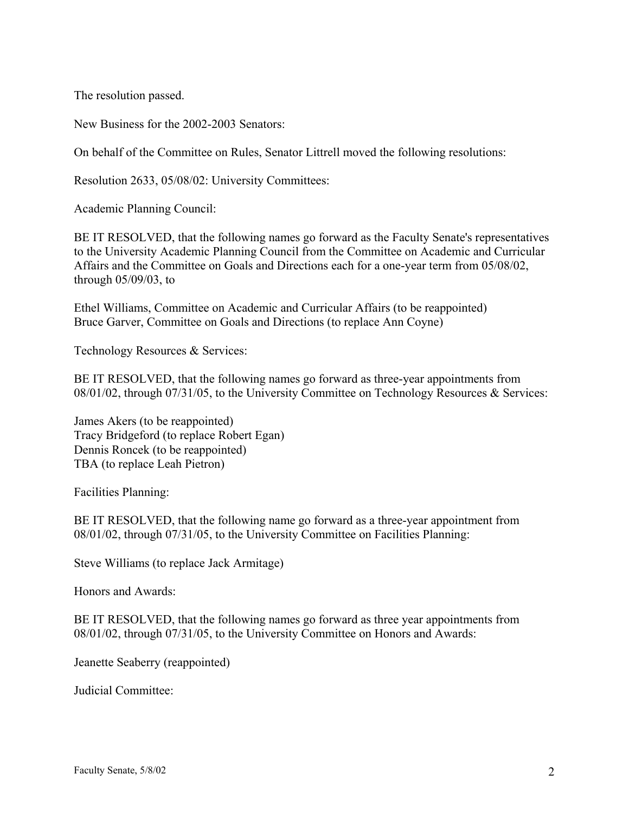The resolution passed.

New Business for the 2002-2003 Senators:

On behalf of the Committee on Rules, Senator Littrell moved the following resolutions:

Resolution 2633, 05/08/02: University Committees:

Academic Planning Council:

BE IT RESOLVED, that the following names go forward as the Faculty Senate's representatives to the University Academic Planning Council from the Committee on Academic and Curricular Affairs and the Committee on Goals and Directions each for a one-year term from 05/08/02, through 05/09/03, to

Ethel Williams, Committee on Academic and Curricular Affairs (to be reappointed) Bruce Garver, Committee on Goals and Directions (to replace Ann Coyne)

Technology Resources & Services:

BE IT RESOLVED, that the following names go forward as three-year appointments from 08/01/02, through 07/31/05, to the University Committee on Technology Resources & Services:

James Akers (to be reappointed) Tracy Bridgeford (to replace Robert Egan) Dennis Roncek (to be reappointed) TBA (to replace Leah Pietron)

Facilities Planning:

BE IT RESOLVED, that the following name go forward as a three-year appointment from 08/01/02, through 07/31/05, to the University Committee on Facilities Planning:

Steve Williams (to replace Jack Armitage)

Honors and Awards:

BE IT RESOLVED, that the following names go forward as three year appointments from 08/01/02, through 07/31/05, to the University Committee on Honors and Awards:

Jeanette Seaberry (reappointed)

Judicial Committee: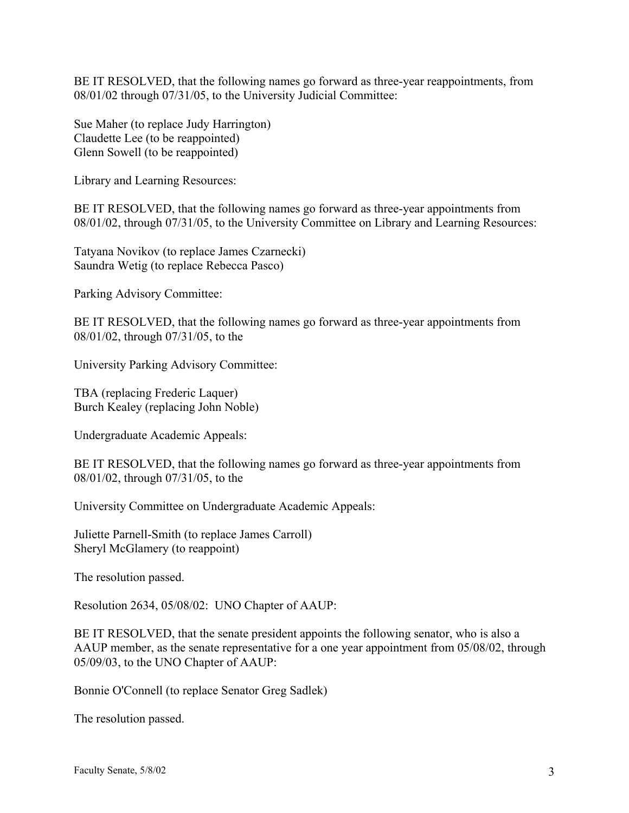BE IT RESOLVED, that the following names go forward as three-year reappointments, from 08/01/02 through 07/31/05, to the University Judicial Committee:

Sue Maher (to replace Judy Harrington) Claudette Lee (to be reappointed) Glenn Sowell (to be reappointed)

Library and Learning Resources:

BE IT RESOLVED, that the following names go forward as three-year appointments from 08/01/02, through 07/31/05, to the University Committee on Library and Learning Resources:

Tatyana Novikov (to replace James Czarnecki) Saundra Wetig (to replace Rebecca Pasco)

Parking Advisory Committee:

BE IT RESOLVED, that the following names go forward as three-year appointments from 08/01/02, through 07/31/05, to the

University Parking Advisory Committee:

TBA (replacing Frederic Laquer) Burch Kealey (replacing John Noble)

Undergraduate Academic Appeals:

BE IT RESOLVED, that the following names go forward as three-year appointments from 08/01/02, through 07/31/05, to the

University Committee on Undergraduate Academic Appeals:

Juliette Parnell-Smith (to replace James Carroll) Sheryl McGlamery (to reappoint)

The resolution passed.

Resolution 2634, 05/08/02: UNO Chapter of AAUP:

BE IT RESOLVED, that the senate president appoints the following senator, who is also a AAUP member, as the senate representative for a one year appointment from 05/08/02, through 05/09/03, to the UNO Chapter of AAUP:

Bonnie O'Connell (to replace Senator Greg Sadlek)

The resolution passed.